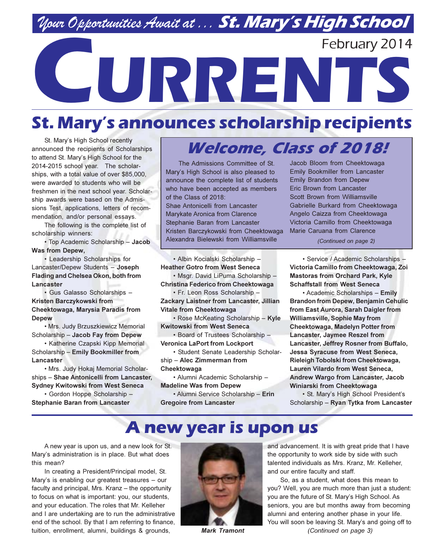## Nour Opportunities Await at . . . St. Mary's High School

February 2014

# CURRENTS

## **St. Mary's announces scholarship recipients**

St. Mary's High School recently announced the recipients of Scholarships to attend St. Mary's High School for the 2014-2015 school year. The scholarships, with a total value of over \$85,000, were awarded to students who will be freshmen in the next school vear. Scholarship awards were based on the Admissions Test, applications, letters of recommendation, and/or personal essays.

The following is the complete list of scholarship winners:

. Top Academic Scholarship - Jacob **Was from Depew,** 

• Leadership Scholarships for Lancaster/Depew Students - Joseph Flading and Chelsea Okon, both from Lancaster

· Gus Galasso Scholarships -Kristen Barczykowski from Cheektowaga, Marysia Paradis from **Depew** 

· Mrs. Judy Brzuszkiewicz Memorial Scholarship - Jacob Fay from Depew

• Katherine Czapski Kipp Memorial Scholarship - Emily Bookmiller from Lancaster

· Mrs. Judy Hokaj Memorial Scholarships - Shae Antonicelli from Lancaster. **Sydney Kwitowski from West Seneca** 

· Gordon Hoppe Scholarship -**Stephanie Baran from Lancaster** 

## **Welcome, Class of 2018!**

The Admissions Committee of St. Mary's High School is also pleased to announce the complete list of students who have been accepted as members of the Class of 2018: Shae Antonicelli from Lancaster Marykate Aronica from Clarence Stephanie Baran from Lancaster Kristen Barczykowski from Cheektowaga Alexandra Bielewski from Williamsville

· Albin Kocialski Scholarship -**Heather Gotro from West Seneca** · Msgr. David LiPuma Scholarship -

Christina Federico from Cheektowaga · Fr. Leon Ross Scholarship -

Zackary Laistner from Lancaster, Jillian **Vitale from Cheektowaga** 

• Rose McKeating Scholarship - Kyle **Kwitowski from West Seneca** 

· Board of Trustees Scholarship -**Veronica LaPort from Lockport** 

· Student Senate Leadership Scholarship - Alec Zimmerman from Cheektowaga

• Alumni Academic Scholarship -**Madeline Was from Depew** 

• Alumni Service Scholarship - Erin **Gregoire from Lancaster** 

Jacob Bloom from Cheektowaga **Emily Bookmiller from Lancaster Emily Brandon from Depew** Eric Brown from Lancaster Scott Brown from Williamsville Gabrielle Burkard from Cheektowaga Angelo Caizza from Cheektowaga Victoria Camillo from Cheektowaga Marie Caruana from Clarence

(Continued on page 2)

· Service / Academic Scholarships -Victoria Camillo from Cheektowaga, Zoi **Mastoras from Orchard Park, Kyle Schaffstall from West Seneca** 

• Academic Scholarships - Emily **Brandon from Depew, Benjamin Cehulic** from East Aurora, Sarah Daigler from **Williamsville, Sophie May from** Cheektowaga, Madelyn Potter from Lancaster, Jaymee Reszel from Lancaster, Jeffrey Rosner from Buffalo, **Jessa Syracuse from West Seneca,** Rieleigh Tobolski from Cheektowaga, Lauren Vilardo from West Seneca, Andrew Wargo from Lancaster, Jacob Winiarski from Cheektowaga

· St. Mary's High School President's Scholarship - Ryan Tytka from Lancaster

### A new year is upon us

A new year is upon us, and a new look for St. Mary's administration is in place. But what does this mean?

In creating a President/Principal model, St. Mary's is enabling our greatest treasures - our faculty and principal, Mrs. Kranz - the opportunity to focus on what is important: you, our students, and your education. The roles that Mr. Kelleher and I are undertaking are to run the administrative end of the school. By that I am referring to finance, tuition, enrollment, alumni, buildings & grounds,



**Mark Tramont** 

and advancement. It is with great pride that I have the opportunity to work side by side with such talented individuals as Mrs. Kranz, Mr. Kelleher, and our entire faculty and staff.

So, as a student, what does this mean to you? Well, you are much more than just a student: you are the future of St. Mary's High School. As seniors, you are but months away from becoming alumni and entering another phase in your life. You will soon be leaving St. Mary's and going off to (Continued on page 3)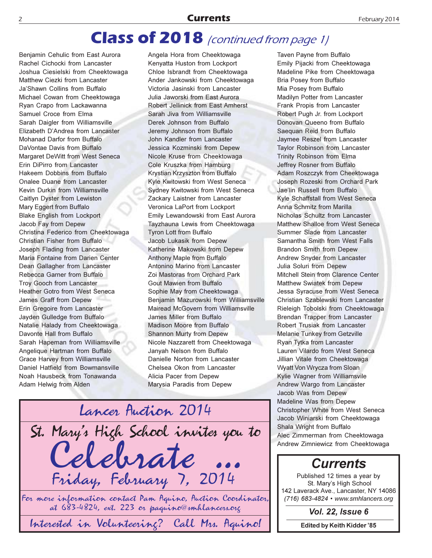#### **Class of 2018** (continued from page 1)

Benjamin Cehulic from East Aurora Rachel Cichocki from Lancaster Joshua Ciesielski from Cheektowaga Matthew Ciezki from Lancaster Ja'Shawn Collins from Buffalo Michael Cowan from Cheektowaga Ryan Crapo from Lackawanna Samuel Croce from Elma Sarah Daigler from Williamsville Elizabeth D'Andrea from Lancaster Mohanad Darfor from Buffalo DaVontae Davis from Buffalo Margaret DeWitt from West Seneca Erin DiPirro from Lancaster Hakeem Dobbins from Buffalo Onalee Duane from Lancaster Kevin Durkin from Williamsville Caitlyn Dyster from Lewiston Mary Eggert from Buffalo Blake English from Lockport Jacob Fay from Depew Christina Federico from Cheektowaga Christian Fisher from Buffalo Joseph Flading from Lancaster Maria Fontaine from Darien Center Dean Gallagher from Lancaster Rebecca Garner from Buffalo **Troy Gooch from Lancaster** Heather Gotro from West Seneca James Graff from Depew Erin Gregoire from Lancaster Jayden Gulledge from Buffalo Natalie Halady from Cheektowaga Davonte Hall from Buffalo Sarah Hapeman from Williamsville Angelique Hartman from Buffalo Grace Harvey from Williamsville Daniel Hatfield from Bowmansville Noah Hausbeck from Tonawanda Adam Helwig from Alden

Angela Hora from Cheektowaga Kenvatta Huston from Lockport Chloe Isbrandt from Cheektowaga Ander Jankowski from Cheektowaga Victoria Jasinski from Lancaster Julia Jaworski from East Aurora Robert Jellinick from East Amherst Sarah Jiva from Williamsville Derek Johnson from Buffalo Jeremy Johnson from Buffalo John Kandler from Lancaster Jessica Kozminski from Depew Nicole Kruse from Cheektowaga Cole Kruszka from Hamburg Krystian Krzyszton from Buffalo Kyle Kwitowski from West Seneca Sydney Kwitowski from West Seneca Zackary Laistner from Lancaster Veronica LaPort from Lockport Emily Lewandowski from East Aurora Tayzhauna Lewis from Cheektowaga **Tyron Lott from Buffalo** Jacob Lukasik from Depew Katherine Makowski from Depew Anthony Maple from Buffalo Antonino Marino from Lancaster Zoi Mastoras from Orchard Park **Gout Mawien from Buffalo** Sophie May from Cheektowaga Benjamin Mazurowski from Williamsville Mairead McGovern from Williamsville James Miller from Buffalo Madison Moore from Buffalo Shannon Murty from Depew Nicole Nazzarett from Cheektowaga Janyah Nelson from Buffalo Danielle Norton from Lancaster Chelsea Okon from Lancaster Alicia Pacer from Depew Marysia Paradis from Depew



Interested in Volunteering? Call Mrs. Aguino!

Taven Payne from Buffalo Emily Pijacki from Cheektowaga Madeline Pike from Cheektowaga Bria Posey from Buffalo Mia Posey from Buffalo Madilyn Potter from Lancaster Frank Propis from Lancaster Robert Pugh Jr. from Lockport Donovan Queeno from Buffalo Saequan Reid from Buffalo Jaymee Reszel from Lancaster Taylor Robinson from Lancaster **Trinity Robinson from Elma** Jeffrey Rosner from Buffalo Adam Roszczyk from Cheektowaga Joseph Rozeski from Orchard Park Jae'lin Russell from Buffalo Kyle Schaffstall from West Seneca Anna Schmitz from Marilla Nicholas Schultz from Lancaster Matthew Shalloe from West Seneca Summer Slade from Lancaster Samantha Smith from West Falls **Brandon Smith from Depew** Andrew Snyder from Lancaster Julia Soluri from Depew Mitchell Stein from Clarence Center Matthew Swiatek from Depew Jessa Syracuse from West Seneca Christian Szablewski from Lancaster Rieleigh Tobolski from Cheektowaga Brendan Trapper from Lancaster Robert Trusiak from Lancaster Melanie Tunkey from Getzville Ryan Tytka from Lancaster Lauren Vilardo from West Seneca Jillian Vitale from Cheektowaga Wyatt Von Wrycza from Sloan Kylie Wagner from Williamsvile Andrew Wargo from Lancaster Jacob Was from Depew Madeline Was from Depew Christopher White from West Seneca Jacob Winiarski from Cheektowaga Shala Wright from Buffalo Alec Zimmerman from Cheektowaga Andrew Zimniewicz from Cheektowaga

#### **Currents**

Published 12 times a year by St. Mary's High School 142 Laverack Ave., Lancaster, NY 14086 (716) 683-4824 • www.smhlancers.org

**Vol. 22, Issue 6** 

**Edited by Keith Kidder '85**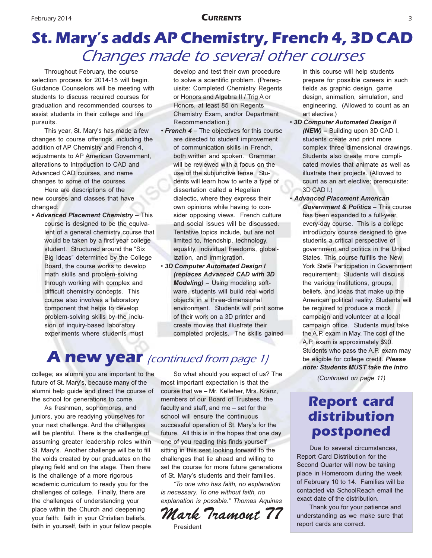## **St. Mary's adds AP Chemistry, French 4, 3D CAD** Changes made to several other courses

Throughout February, the course selection process for 2014-15 will begin. Guidance Counselors will be meeting with students to discuss required courses for graduation and recommended courses to assist students in their college and life pursuits.

This year, St. Mary's has made a few changes to course offerings, including the addition of AP Chemistry and French 4, adjustments to AP American Government, alterations to Introduction to CAD and Advanced CAD courses, and name changes to some of the courses.

Here are descriptions of the new courses and classes that have changed:

• Advanced Placement Chemistry - This course is designed to be the equivalent of a general chemistry course that would be taken by a first-year college student. Structured around the "Six Big Ideas" determined by the College Board, the course works to develop math skills and problem-solving through working with complex and difficult chemistry concepts. This course also involves a laboratory component that helps to develop problem-solving skills by the inclusion of inquiry-based laboratory experiments where students must

develop and test their own procedure to solve a scientific problem. (Prerequisite: Completed Chemistry Regents or Honors and Algebra II / Trig A or Honors, at least 85 on Regents Chemistry Exam, and/or Department Recommendation.)

- French 4 The objectives for this course are directed to student improvement of communication skills in French, both written and spoken. Grammar will be reviewed with a focus on the use of the subjunctive tense. Students will learn how to write a type of dissertation called a Hegelian dialectic, where they express their own opinions while having to consider opposing views. French culture and social issues will be discussed. Tentative topics include, but are not limited to, friendship, technology, equality, individual freedoms, globalization, and immigration.
- · 3D Computer Automated Design I (replaces Advanced CAD with 3D Modeling) - Using modeling software, students will build real-world objects in a three-dimensional environment. Students will print some of their work on a 3D printer and create movies that illustrate their completed projects. The skills gained

#### **A new year** (continued from page 1)

college; as alumni you are important to the future of St. Mary's, because many of the alumni help quide and direct the course of the school for generations to come.

As freshmen, sophomores, and juniors, you are readying yourselves for your next challenge. And the challenges will be plentiful. There is the challenge of assuming greater leadership roles within St. Mary's. Another challenge will be to fill the voids created by our graduates on the playing field and on the stage. Then there is the challenge of a more rigorous academic curriculum to ready you for the challenges of college. Finally, there are the challenges of understanding your place within the Church and deepening your faith: faith in your Christian beliefs, faith in yourself, faith in your fellow people.

So what should you expect of us? The most important expectation is that the course that we - Mr. Kelleher, Mrs. Kranz. members of our Board of Trustees, the faculty and staff, and me - set for the school will ensure the continuous successful operation of St. Mary's for the future. All this is in the hopes that one day one of you reading this finds yourself sitting in this seat looking forward to the challenges that lie ahead and willing to set the course for more future generations of St. Mary's students and their families.

"To one who has faith, no explanation is necessary. To one without faith, no explanation is possible." Thomas Aquinas

Mark Tramont 77 President

in this course will help students prepare for possible careers in such fields as graphic design, game design, animation, simulation, and engineering. (Allowed to count as an art elective.)

- · 3D Computer Automated Design II (NEW) - Building upon 3D CAD I, students create and print more complex three-dimensional drawings. Students also create more complicated movies that animate as well as illustrate their projects. (Allowed to count as an art elective; prerequisite: 3D CAD I.)
- · Advanced Placement American Government & Politics - This course has been expanded to a full-year, every-day course. This is a college introductory course designed to give students a critical perspective of government and politics in the United States. This course fulfills the New York State Participation in Government requirement. Students will discuss the various institutions, groups, beliefs, and ideas that make up the American political reality. Students will be required to produce a mock campaign and volunteer at a local campaign office. Students must take the A.P. exam in May. The cost of the A.P. exam is approximately \$90. Students who pass the A.P. exam may be eligible for college credit. Please note: Students MUST take the Intro

(Continued on page 11)

#### **Report card** distribution postponed

Due to several circumstances. Report Card Distribution for the Second Quarter will now be taking place in Homeroom during the week of February 10 to 14. Families will be contacted via SchoolReach email the exact date of the distribution.

Thank you for your patience and understanding as we make sure that report cards are correct.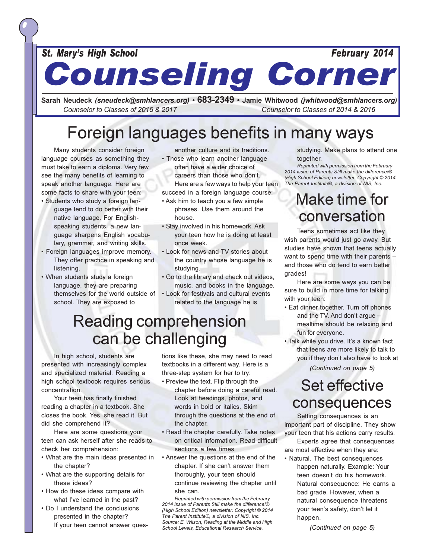St. Mary's High School

**Counseling Corner** 

Sarah Neudeck (sneudeck@smhlancers.org) • 683-2349 • Jamie Whitwood (jwhitwood@smhlancers.org) Counselor to Classes of 2015 & 2017 Counselor to Classes of 2014 & 2016

## Foreign languages benefits in many ways

Many students consider foreign language courses as something they must take to earn a diploma. Very few see the many benefits of learning to speak another language. Here are some facts to share with your teen:

- · Students who study a foreign language tend to do better with their native language. For Englishspeaking students, a new lanquage sharpens English vocabulary, grammar, and writing skills.
- · Foreign languages improve memory. They offer practice in speaking and listening.
- When students study a foreign language, they are preparing themselves for the world outside of school. They are exposed to

another culture and its traditions. . Those who learn another language

- often have a wider choice of careers than those who don't. Here are a few ways to help your teen succeed in a foreign language course:
- Ask him to teach you a few simple phrases. Use them around the house
- · Stay involved in his homework. Ask your teen how he is doing at least once week
- . Look for news and TV stories about the country whose language he is studying.
- . Go to the library and check out videos, music, and books in the language.
- Look for festivals and cultural events related to the language he is

## **Reading comprehension** can be challenging

In high school, students are presented with increasingly complex and specialized material. Reading a high school textbook requires serious concentration.

Your teen has finally finished reading a chapter in a textbook. She closes the book. Yes, she read it. But did she comprehend it?

Here are some questions your teen can ask herself after she reads to check her comprehension:

- What are the main ideas presented in the chapter?
- What are the supporting details for these ideas?
- How do these ideas compare with what I've learned in the past?
- Do I understand the conclusions presented in the chapter? If your teen cannot answer ques-

tions like these, she may need to read textbooks in a different way. Here is a three-step system for her to try:

- Preview the text. Flip through the chapter before doing a careful read. Look at headings, photos, and words in bold or italics. Skim through the questions at the end of the chapter.
- · Read the chapter carefully. Take notes on critical information. Read difficult sections a few times.
- Answer the questions at the end of the chapter. If she can't answer them thoroughly, your teen should continue reviewing the chapter until she can.

Reprinted with permission from the February 2014 issue of Parents Still make the difference!® (High School Edition) newsletter, Copyright © 2014 The Parent Institute®, a division of NIS, Inc. Source: E. Wilson, Reading at the Middle and High School Levels, Educational Research Service.

studying. Make plans to attend one together.

February 2014

Reprinted with permission from the February 2014 issue of Parents Still make the difference!® (High School Edition) newsletter. Copyright © 2014 The Parent Institute®, a division of NIS, Inc.

### Make time for conversation

Teens sometimes act like they wish parents would just go away. But studies have shown that teens actually want to spend time with their parents and those who do tend to earn better arades!

Here are some ways you can be sure to build in more time for talking with your teen:

- Eat dinner together. Turn off phones and the TV. And don't argue mealtime should be relaxing and fun for everyone.
- · Talk while you drive. It's a known fact that teens are more likely to talk to you if they don't also have to look at

(Continued on page 5)

#### **Set effective** consequences

Setting consequences is an important part of discipline. They show your teen that his actions carry results.

Experts agree that consequences are most effective when they are:

• Natural. The best consequences happen naturally. Example: Your teen doesn't do his homework. Natural consequence: He earns a bad grade. However, when a natural consequence threatens your teen's safety, don't let it happen.

(Continued on page 5)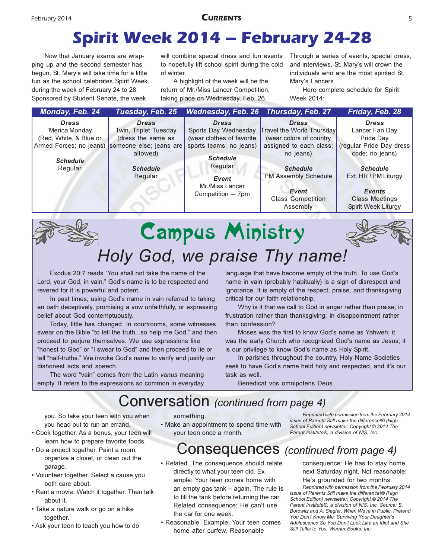## **Spirit Week 2014 - February 24-28**

Now that January exams are wrapping up and the second semester has begun, St. Mary's will take time for a little fun as the school celebrates Spirit Week during the week of February 24 to 28. Sponsored by Student Senate, the week

will combine special dress and fun events to hopefully lift school spirit during the cold of winter.

A highlight of the week will be the return of Mr./Miss Lancer Competition, taking place on Wednesday, Feb. 26.

Through a series of events, special dress, and interviews, St. Mary's will crown the individuals who are the most spirited St. Mary's Lancers.

Here complete schedule for Spirit Week 2014:

| Monday, Feb. 24                                          | Tuesday, Feb. 25                                            | Wednesday, Feb. 26 Thursday, Feb. 27                              |                                                                              | Friday, Feb. 28                                                                       |  |
|----------------------------------------------------------|-------------------------------------------------------------|-------------------------------------------------------------------|------------------------------------------------------------------------------|---------------------------------------------------------------------------------------|--|
| <b>Dress</b><br>'Merica Monday<br>(Red, White, & Blue or | <b>Dress</b><br>Twin, Triplet Tuesday<br>(dress the same as | <b>Dress</b><br>Sports Day Wednesday<br>(wear clothes of favorite | <b>Dress</b><br>Travel the World Thursday<br>(wear colors of country         | <b>Dress</b><br>Lancer Fan Day<br>Pride Dav                                           |  |
| Armed Forces; no jeans)<br><b>Schedule</b><br>Regular    | someone else; jeans are<br>allowed)<br><b>Schedule</b>      | sports teams; no jeans)<br><b>Schedule</b><br>Regular             | assigned to each class;<br>no jeans)<br><b>Schedule</b>                      | (regular Pride Day dress<br>code; no jeans)<br><b>Schedule</b>                        |  |
|                                                          | Regular                                                     | Event<br>Mr./Miss Lancer<br>Competition - 7pm                     | <b>PM Assembly Schedule</b><br>Event<br><b>Class Competition</b><br>Assembly | Ext. HR / PM Liturgy<br><b>Events</b><br><b>Class Meetings</b><br>Spirit Week Liturgy |  |
|                                                          |                                                             |                                                                   |                                                                              |                                                                                       |  |

## **Campus Ministry** Holy God, we praise Thy name!

Exodus 20:7 reads "You shall not take the name of the Lord, your God, in vain." God's name is to be respected and revered for it is powerful and potent.

In past times, using God's name in vain referred to taking an oath deceptively, promising a vow unfaithfully, or expressing belief about God contemptuously.

Today, little has changed. In courtrooms, some witnesses swear on the Bible "to tell the truth...so help me God," and then proceed to perjure themselves. We use expressions like "honest to God" or "I swear to God" and then proceed to lie or tell "half-truths." We invoke God's name to verify and justify our dishonest acts and speech.

The word "vain" comes from the Latin vanus meaning empty. It refers to the expressions so common in everyday language that have become empty of the truth. To use God's name in vain (probably habitually) is a sign of disrespect and ignorance. It is empty of the respect, praise, and thanksgiving critical for our faith relationship.

Why is it that we call to God in anger rather than praise; in frustration rather than thanksgiving; in disappointment rather than confession?

Moses was the first to know God's name as Yahweh; it was the early Church who recognized God's name as Jesus; it is our privilege to know God's name as Holy Spirit.

In parishes throughout the country, Holy Name Societies seek to have God's name held holy and respected, and it's our task as well

Benedicat vos omnipotens Deus.

#### **Conversation** (continued from page 4)

you. So take your teen with you when you head out to run an errand.

- Cook together. As a bonus, your teen will learn how to prepare favorite foods.
- Do a project together. Paint a room, organize a closet, or clean out the garage.
- Volunteer together. Select a cause you both care about.
- Rent a movie. Watch it together. Then talk about it.
- Take a nature walk or go on a hike together.
- . Ask your teen to teach you how to do

something.

• Make an appointment to spend time with your teen once a month.

Reprinted with permission from the February 2014 issue of Parents Still make the difference!® (High School Edition) newsletter. Copyright © 2014 The Parent Institute®, a division of NIS, Inc.

#### Consequences (continued from page 4)

- Related. The consequence should relate directly to what your teen did. Example: Your teen comes home with an empty gas tank - again. The rule is to fill the tank before returning the car. Related consequence: He can't use the car for one week.
- · Reasonable. Example: Your teen comes home after curfew. Reasonable

consequence: He has to stay home next Saturday night. Not reasonable: He's grounded for two months.

Reprinted with permission from the February 2014 issue of Parents Still make the difference!® (High School Edition) newsletter. Copyright © 2014 The Parent Institute®, a division of NIS, Inc. Source: S. Borowitz and A. Siegler, When We're in Public, Pretend You Don't Know Me: Surviving Your Daughter's Adolescence So You Don't Look Like an Idiot and She Still Talks to You. Warner Books. Inc.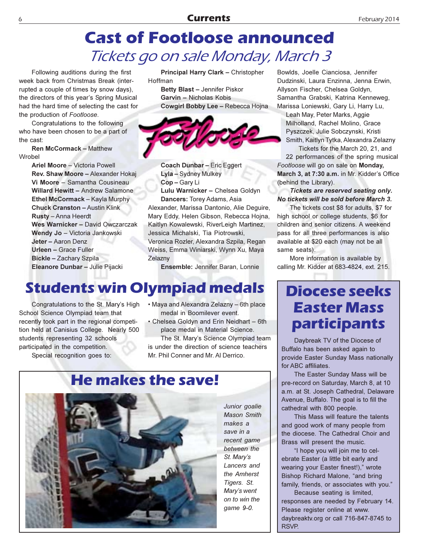## **Cast of Footloose announced** Tickets go on sale Monday, March 3

Following auditions during the first week back from Christmas Break (interrupted a couple of times by snow days). the directors of this year's Spring Musical had the hard time of selecting the cast for the production of Footloose.

Congratulations to the following who have been chosen to be a part of the cast:

**Ren McCormack - Matthew** Wrobel

> Ariel Moore - Victoria Powell Rev. Shaw Moore - Alexander Hokai Vi Moore - Samantha Cousineau **Willard Hewitt - Andrew Salamone** Ethel McCormack - Kayla Murphy **Chuck Cranston - Austin Klink** Rusty - Anna Heerdt Wes Warnicker - David Owczarczak Wendy Jo - Victoria Jankowski Jeter - Aaron Denz Urleen - Grace Fuller Bickle - Zachary Szpila Eleanore Dunbar - Julie Pijacki

Principal Harry Clark - Christopher Hoffman

Betty Blast - Jennifer Piskor Garvin - Nicholas Kobis Cowgirl Bobby Lee - Rebecca Hojna



Coach Dunbar - Eric Eggert Lyla - Sydney Mulkey Cop-Gary Li Lulu Warnicker - Chelsea Goldyn Dancers: Torey Adams, Asia Alexander, Marissa Dantonio, Alie Dequire, Mary Eddy, Helen Gibson, Rebecca Hojna, Kaitlyn Kowalewski, RiverLeigh Martinez, Jessica Michalski, Tia Piotrowski, Veronica Rozler, Alexandra Szpila, Regan Weiss, Emma Winiarski, Wynn Xu, Maya Zelaznv

Ensemble: Jennifer Baran, Lonnie

#### **Students win Olympiad medals**

Congratulations to the St. Mary's High School Science Olympiad team that recently took part in the regional competition held at Canisius College. Nearly 500 students representing 32 schools participated in the competition.

Special recognition goes to:

- Maya and Alexandra Zelazny 6th place medal in Boomilever event.
- Chelsea Goldyn and Erin Neidhart 6th place medal in Material Science.

The St. Mary's Science Olympiad team is under the direction of science teachers Mr. Phil Conner and Mr. Al Derrico.

## **He makes the save!**



Junior goalie **Mason Smith**  $make a$ save in a recent game between the St. Mary's Lancers and the Amherst Tigers, St. Mary's went on to win the game 9-0.

Bowlds, Joelle Cianciosa, Jennifer Dudzinski, Laura Enzinna, Jenna Erwin, Allyson Fischer, Chelsea Goldyn, Samantha Grabski, Katrina Kenneweg, Marissa Loniewski, Gary Li, Harry Lu,

Leah May, Peter Marks, Aggie Milholland, Rachel Molino, Grace Pyszczek, Julie Sobczynski, Kristi Smith, Kaitlyn Tytka, Alexandra Zelazny

Tickets for the March 20, 21, and 22 performances of the spring musical Footloose will go on sale on Monday, March 3, at 7:30 a.m. in Mr. Kidder's Office (behind the Library).

Tickets are reserved seating only. No tickets will be sold before March 3.

The tickets cost \$8 for adults, \$7 for high school or college students, \$6 for children and senior citizens. A weekend pass for all three performances is also available at \$20 each (may not be all same seats).

More information is available by calling Mr. Kidder at 683-4824, ext. 215.

#### **Diocese seeks Easter Mass participants**

Daybreak TV of the Diocese of Buffalo has been asked again to provide Easter Sunday Mass nationally for ABC affiliates.

The Easter Sunday Mass will be pre-record on Saturday, March 8, at 10 a.m. at St. Joseph Cathedral, Delaware Avenue, Buffalo. The goal is to fill the cathedral with 800 people.

This Mass will feature the talents and good work of many people from the diocese. The Cathedral Choir and Brass will present the music.

"I hope you will join me to celebrate Easter (a little bit early and wearing your Easter finest!)," wrote Bishop Richard Malone, "and bring family, friends, or associates with you."

Because seating is limited, responses are needed by February 14. Please register online at www. daybreaktv.org or call 716-847-8745 to RSVP.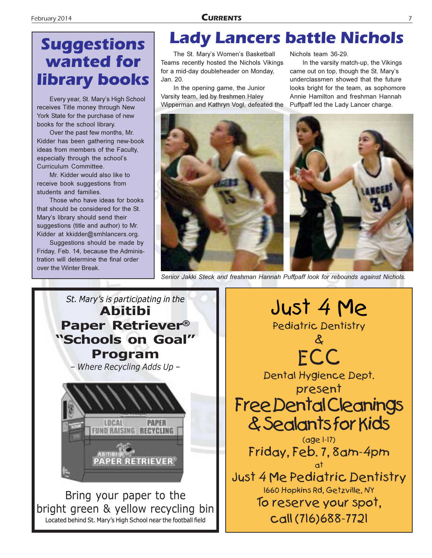## **Suggestions** wanted for **library books**

Every year, St. Mary's High School receives Title money through New York State for the purchase of new books for the school library.

Over the past few months, Mr. Kidder has been gathering new-book ideas from members of the Faculty, especially through the school's Curriculum Committee.

Mr. Kidder would also like to receive book suggestions from students and families.

Those who have ideas for books that should be considered for the St. Mary's library should send their suggestions (title and author) to Mr. Kidder at kkidder@smhlancers.org.

Suggestions should be made by Friday, Feb. 14, because the Administration will determine the final order over the Winter Break.

## **Lady Lancers battle Nichols**

The St. Mary's Women's Basketball Teams recently hosted the Nichols Vikings for a mid-day doubleheader on Monday, Jan. 20.

In the opening game, the Junior Varsity team, led by freshmen Haley Wipperman and Kathryn Vogl, defeated the

Nichols team 36-29.

In the varsity match-up, the Vikings came out on top, though the St. Mary's underclassmen showed that the future looks bright for the team, as sophomore Annie Hamilton and freshman Hannah Puffpaff led the Lady Lancer charge.



Senior Jakki Steck and freshman Hannah Puffpaff look for rebounds against Nichols.



Bring your paper to the bright green & yellow recycling bin Located behind St. Mary's High School near the football field

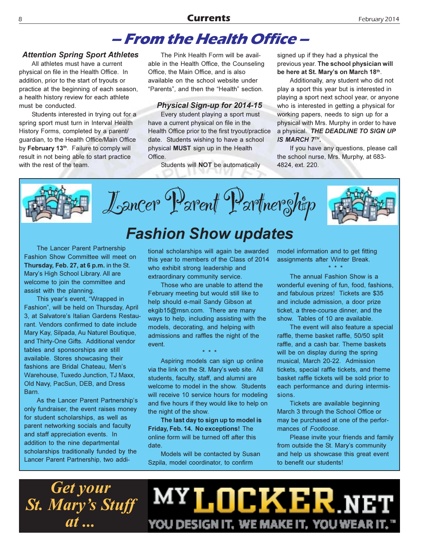#### **Currents**

#### - From the Health Office -

#### **Attention Spring Sport Athletes**

All athletes must have a current physical on file in the Health Office. In addition, prior to the start of tryouts or practice at the beginning of each season, a health history review for each athlete must be conducted.

Students interested in trying out for a spring sport must turn in Interval Health History Forms, completed by a parent/ guardian, to the Health Office/Main Office by February 13<sup>th</sup>. Failure to comply will result in not being able to start practice with the rest of the team.

The Pink Health Form will be available in the Health Office, the Counseling Office, the Main Office, and is also available on the school website under "Parents", and then the "Health" section.

#### **Physical Sign-up for 2014-15**

Every student playing a sport must have a current physical on file in the Health Office prior to the first tryout/practice date. Students wishing to have a school physical MUST sign up in the Health Office.

Students will NOT be automatically

signed up if they had a physical the previous year. The school physician will be here at St. Mary's on March 18th.

Additionally, any student who did not play a sport this year but is interested in playing a sport next school year, or anyone who is interested in getting a physical for working papers, needs to sign up for a physical with Mrs. Murphy in order to have a physical. THE DEADLINE TO SIGN UP IS MARCH 7TH.

If you have any questions, please call the school nurse, Mrs. Murphy, at 683-4824, ext. 220.



Lancer Parent Partnerghip

The Lancer Parent Partnership Fashion Show Committee will meet on Thursday, Feb. 27, at 6 p.m. in the St. Mary's High School Library. All are welcome to join the committee and assist with the planning.

This year's event, "Wrapped in Fashion", will be held on Thursday, April 3. at Salvatore's Italian Gardens Restaurant. Vendors confirmed to date include Mary Kay, Silpada, Au Naturel Boutique, and Thirty-One Gifts. Additional vendor tables and sponsorships are still available. Stores showcasing their fashions are Bridal Chateau. Men's Warehouse, Tuxedo Junction, TJ Maxx, Old Navy, PacSun, DEB, and Dress Barn.

As the Lancer Parent Partnership's only fundraiser, the event raises money for student scholarships, as well as parent networking socials and faculty and staff appreciation events. In addition to the nine departmental scholarships traditionally funded by the Lancer Parent Partnership, two addi-

tional scholarships will again be awarded this year to members of the Class of 2014 who exhibit strong leadership and extraordinary community service.

**Fashion Show updates** 

Those who are unable to attend the February meeting but would still like to help should e-mail Sandy Gibson at ekgib15@msn.com. There are many ways to help, including assisting with the models, decorating, and helping with admissions and raffles the night of the event.

Aspiring models can sign up online via the link on the St. Mary's web site. All students, faculty, staff, and alumni are welcome to model in the show. Students will receive 10 service hours for modeling and five hours if they would like to help on the night of the show.

The last day to sign up to model is Friday, Feb. 14. No exceptions! The online form will be turned off after this date.

Models will be contacted by Susan Szpila, model coordinator, to confirm

model information and to get fitting assignments after Winter Break.

The annual Fashion Show is a wonderful evening of fun, food, fashions, and fabulous prizes! Tickets are \$35 and include admission, a door prize ticket, a three-course dinner, and the show. Tables of 10 are available.

The event will also feature a special raffle, theme basket raffle, 50/50 split raffle, and a cash bar. Theme baskets will be on display during the spring musical, March 20-22. Admission tickets, special raffle tickets, and theme basket raffle tickets will be sold prior to each performance and during intermissions.

Tickets are available beginning March 3 through the School Office or may be purchased at one of the performances of Footloose.

Please invite your friends and family from outside the St. Mary's community and help us showcase this great event to benefit our students!

**Get your St. Mary's Stuff** at ...

MY **LOCKER** NE YOU DESIGN IT, WE MAKE IT, YOU WEAR IT."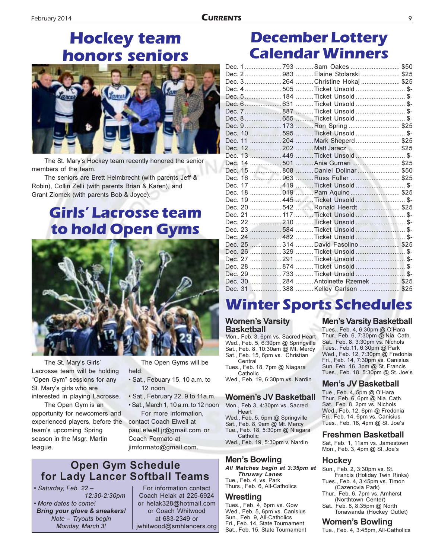## **Hockey team honors seniors**



The St. Mary's Hockey team recently honored the senior members of the team.

The seniors are Brett Helmbrecht (with parents Jeff & Robin), Collin Zelli (with parents Brian & Karen), and Grant Ziomek (with parents Bob & Joyce).

### **Girls' Lacrosse team** to hold Open Gyms



The St. Mary's Girls' Lacrosse team will be holding "Open Gym" sessions for any St. Mary's girls who are interested in playing Lacrosse.

The Open Gym is an opportunity for newcomers and experienced players, before the team's upcoming Spring season in the Msgr. Martin league.

The Open Gyms will be held:

- · Sat., Febuary 15, 10 a.m. to 12 noon
- · Sat., February 22, 9 to 11a.m.
- Sat., March 1, 10 a.m. to 12 noon For more information.

contact Coach Elwell at paul.elwell.jr@gmail.com or Coach Formato at jimformato@gmail.com.

#### **Open Gym Schedule** for Lady Lancer Softball Teams

· Saturday, Feb. 22-12:30-2:30pm

· More dates to come! Bring your glove & sneakers! Note - Tryouts begin Monday, March 3!

For information contact Coach Helak at 225-6924 or helak328@hotmail.com or Coach Whitwood at 683-2349 or jwhitwood@smhlancers.org

#### **December Lottery Calendar Winners**

|  | Dec. 1793 Sam Oakes \$50            |  |
|--|-------------------------------------|--|
|  | Dec. 2983  Elaine Stolarski  \$25   |  |
|  | Dec. 3264 Christine Hokaj  \$25     |  |
|  | Dec. 4 505 Ticket Unsold \$-        |  |
|  | Dec. 5184 Ticket Unsold \$-         |  |
|  |                                     |  |
|  |                                     |  |
|  |                                     |  |
|  | Dec. 9173 Ron Spring \$25           |  |
|  | Dec. 10 595 Ticket Unsold \$-       |  |
|  | Dec. 11 204  Mark Sheperd  \$25     |  |
|  | Dec. 12 202  Matt Jaracz  \$25      |  |
|  | Dec. 13 449 Ticket Unsold  \$-      |  |
|  | Dec. 14 501 Ania Gurnari  \$25      |  |
|  | Dec. 15 808 Daniel Dolinar  \$50    |  |
|  | Dec. 16 963 Russ Fuller  \$25       |  |
|  | Dec. 17 419 Ticket Unsold \$-       |  |
|  | Dec. 18 019  Pam Aquino  \$25       |  |
|  | Dec. 19 445 Ticket Unsold \$-       |  |
|  | Dec. 20 542 Ronald Heerdt \$25      |  |
|  | Dec. 21 117 Ticket Unsold \$-       |  |
|  | Dec. 22 210 Ticket Unsold \$-       |  |
|  | Dec. 23 584 Ticket Unsold \$-       |  |
|  | Dec. 24 482 Ticket Unsold \$-       |  |
|  | Dec. 25 314 David Fasolino \$25     |  |
|  | Dec. 26 329 Ticket Unsold \$-       |  |
|  | Dec. 27 291 Ticket Unsold  \$-      |  |
|  |                                     |  |
|  | Dec. 29 733 Ticket Unsold \$-       |  |
|  | Dec. 30 284 Antoinette Rzemek  \$25 |  |
|  | Dec. 31 388 Kelley Carlson \$25     |  |

## **Winter Sports Schedules**

#### **Women's Varsity Basketball**

Mon., Feb. 3, 6pm vs. Sacred Heart Wed., Feb. 5, 6:30pm @ Springville Sat., Feb. 8, 10:30am @ Mt. Mercy Sat., Feb. 15, 6pm vs. Christian Central Tues., Feb. 18, 7pm @ Niagara

Catholic Wed., Feb. 19, 6:30pm vs. Nardin

#### **Women's JV Basketball**

Mon., Feb 3, 4:30pm vs. Sacred Heart

Wed., Feb. 5, 5pm @ Springville Sat., Feb. 8, 9am @ Mt. Mercy Tue., Feb. 18, 5:30pm @ Niagara Catholic Wed., Feb. 19, 5:30pm v. Nardin

#### Men's Bowling

All Matches begin at 3:35pm at **Thruway Lanes** Tue., Feb. 4, vs. Park<br>Thurs., Feb. 6, All-Catholics

#### Wrestling

Tues., Feb. 4, 6pm vs. Gow Wed., Feb. 5, 6pm vs. Canisius Sun., Feb. 9, All-Catholics Fri., Feb. 14, State Tournament Sat., Feb. 15, State Tournament

#### **Men's Varsity Basketball**

Tues., Feb. 4, 6:30pm @ O'Hara Thur., Feb. 6, 7:30pm @ Nia. Cath. Sat., Feb. 8, 3:30pm vs. Nichols Tues., Feb.11, 6:30pm @ Park Wed., Feb. 12, 7:30pm @ Fredonia Fri., Feb. 14, 7:30pm vs. Canisius Sun, Feb. 16, 3pm @ St. Francis Tues., Feb. 18, 5:30pm @ St. Joe's

#### Men's JV Basketball

Tue., Feb. 4, 5pm @ O'Hara Thur., Feb. 6, 6pm @ Nia. Cath. Sat., Feb. 8, 2pm vs. Nichols Wed., Feb. 12, 6pm @ Fredonia Fri., Feb. 14, 6pm vs. Canisius Tues., Feb. 18, 4pm @ St. Joe's

#### Freshmen Basketball

Sat, Feb. 1, 11am vs. Jamestown Mon., Feb. 3, 4pm @ St. Joe's

#### **Hockey**

Sun., Feb. 2, 3:30pm vs. St. Francis (Holiday Twin Rinks) Tues., Feb. 4, 3:45pm vs. Timon

- (Cazenovia Park) Thur., Feb. 6, 7pm vs. Amherst
- (Northtown Center) Sat., Feb. 8, 8:35pm @ North Tonawanda (Hockey Outlet)

#### **Women's Bowling**

Tue., Feb. 4, 3:45pm, All-Catholics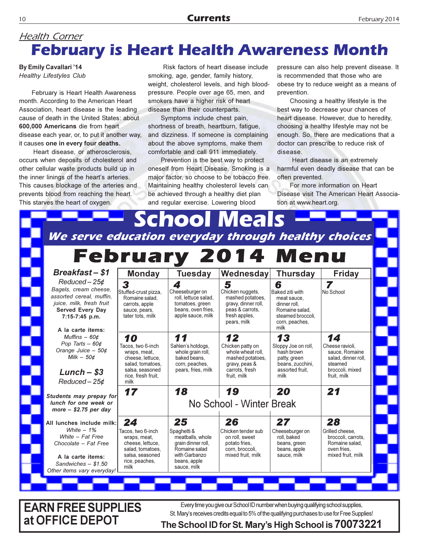#### **Health Corner February is Heart Health Awareness Month**

**By Emily Cavallari '14 Healthy Lifestyles Club** 

February is Heart Health Awareness month. According to the American Heart Association, heart disease is the leading cause of death in the United States: about 600,000 Americans die from heart disease each year, or, to put it another way, it causes one in every four deaths.

Heart disease, or atherosclerosis, occurs when deposits of cholesterol and other cellular waste products build up in the inner linings of the heart's arteries. This causes blockage of the arteries and prevents blood from reaching the heart. This starves the heart of oxygen.

Risk factors of heart disease include smoking, age, gender, family history, weight, cholesterol levels, and high bloodpressure. People over age 65, men, and smokers have a higher risk of heart disease than their counterparts.

Symptoms include chest pain, shortness of breath, heartburn, fatigue, and dizziness. If someone is complaining about the above symptoms, make them comfortable and call 911 immediately.

Prevention is the best way to protect oneself from Heart Disease. Smoking is a major factor, so choose to be tobacco free. Maintaining healthy cholesterol levels can be achieved through a healthy diet plan and regular exercise. Lowering blood

pressure can also help prevent disease. It is recommended that those who are obese try to reduce weight as a means of prevention.

Choosing a healthy lifestyle is the best way to decrease your chances of heart disease. However, due to heredity, choosing a healthy lifestyle may not be enough. So, there are medications that a doctor can prescribe to reduce risk of disease.

Heart disease is an extremely harmful even deadly disease that can be often prevented.

For more information on Heart Disease visit The American Heart Association at www.heart.org.

|                                                                                                                                          |                                                                                                                        |                                                                                                                        | We serve education everyday through healthy choices                                                                 |                                                                                                                      |                                                                                                       |
|------------------------------------------------------------------------------------------------------------------------------------------|------------------------------------------------------------------------------------------------------------------------|------------------------------------------------------------------------------------------------------------------------|---------------------------------------------------------------------------------------------------------------------|----------------------------------------------------------------------------------------------------------------------|-------------------------------------------------------------------------------------------------------|
| <b>Breakfast-\$1</b>                                                                                                                     | <b>Monday</b>                                                                                                          | <b>Tuesday</b>                                                                                                         | <b>February 2014 Menu</b><br>Wednesday                                                                              | <b>Thursday</b>                                                                                                      | <b>Friday</b>                                                                                         |
| Reduced-25¢                                                                                                                              |                                                                                                                        |                                                                                                                        |                                                                                                                     |                                                                                                                      |                                                                                                       |
| Bagels, cream cheese,<br>assorted cereal, muffin,<br>juice, milk, fresh fruit<br>Served Every Day<br>7:15-7:45 p.m.<br>A la carte items: | 3<br>Stuffed-crust pizza,<br>Romaine salad.<br>carrots, apple<br>sauce, pears,<br>tater tots, milk                     | 4<br>Cheeseburger on<br>roll. lettuce salad.<br>tomatoes, green<br>beans, oven fries,<br>apple sauce, milk             | 5<br>Chicken nuggets,<br>mashed potatoes.<br>gravy, dinner roll,<br>peas & carrots.<br>fresh apples.<br>pears, milk | 6<br>Baked ziti with<br>meat sauce.<br>dinner roll,<br>Romaine salad.<br>steamed broccoli.<br>corn, peaches,<br>milk | 7<br>No School                                                                                        |
| Muffins $-60¢$                                                                                                                           | 10                                                                                                                     | 11                                                                                                                     | 12                                                                                                                  | 13                                                                                                                   | 14                                                                                                    |
| Pop Tarts $-60¢$<br>Orange Juice - 50¢<br>Milk $-50¢$<br>$Lunch - $3$                                                                    | Tacos, two 6-inch<br>wraps, meat,<br>cheese. lettuce.<br>salad, tomatoes,<br>salsa, seasoned<br>rice. fresh fruit.     | Sahlen's hotdogs,<br>whole grain roll,<br>baked beans.<br>corn, peaches,<br>pears, fries, milk                         | Chicken patty on<br>whole wheat roll.<br>mashed potatoes.<br>gravy, peas &<br>carrots. fresh<br>fruit. milk         | Sloppy Joe on roll,<br>hash brown<br>patty, green<br>beans, zucchini,<br>assorted fruit.<br>milk                     | Cheese ravioli.<br>sauce. Romaine<br>salad, dinner roll.<br>steamed<br>broccoli, mixed<br>fruit. milk |
| Reduced-25¢                                                                                                                              | milk                                                                                                                   |                                                                                                                        |                                                                                                                     |                                                                                                                      |                                                                                                       |
| Students may prepay for<br>lunch for one week or<br>more $-$ \$2.75 per day                                                              | 18<br>19<br>20<br>21<br>17<br>No School - Winter Break                                                                 |                                                                                                                        |                                                                                                                     |                                                                                                                      |                                                                                                       |
| All lunches include milk:                                                                                                                | 24                                                                                                                     | 25                                                                                                                     | 26                                                                                                                  | 27                                                                                                                   | 28                                                                                                    |
| White $-1%$<br>White - Fat Free<br>Chocolate - Fat Free<br>A la carte items:<br>Sandwiches $-$ \$1.50<br>Other items vary everyday!      | Tacos, two 6-inch<br>wraps, meat,<br>cheese. lettuce.<br>salad. tomatoes.<br>salsa, seasoned<br>rice, peaches,<br>milk | Spaghetti &<br>meatballs, whole<br>grain dinner roll,<br>Romaine salad<br>with Garbanzo<br>beans, apple<br>sauce, milk | Chicken tender sub<br>on roll, sweet<br>potato fries.<br>corn. broccoli.<br>mixed fruit. milk                       | Cheeseburger on<br>roll. baked<br>beans, green<br>beans, apple<br>sauce, milk                                        | Grilled cheese.<br>broccoli, carrots.<br>Romaine salad.<br>oven fries.<br>mixed fruit. milk           |

**EARN FREE SUPPLIES** Every time you give our School ID number when buying qualifying school supplies, St. Mary's receives credits equal to 5% of the qualifying purchases to use for Free Supplies! at OFFICE DEPOT

#### The School ID for St. Mary's High School is 70073221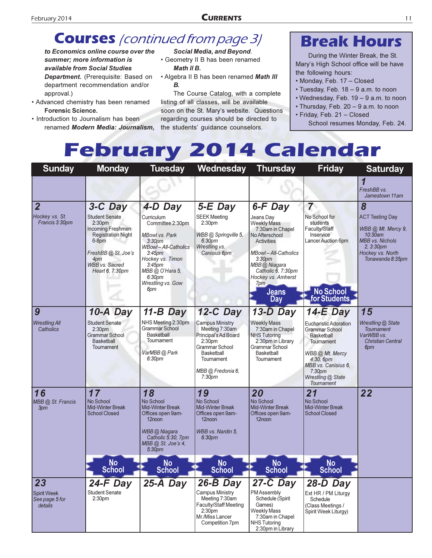#### **CURRENTS**

#### **Courses** (continued from page 3)

to Economics online course over the summer: more information is available from Social Studies Department. (Prerequisite: Based on department recommendation and/or approval.)

- Advanced chemistry has been renamed **Forensic Science.**
- Introduction to Journalism has been renamed Modern Media: Journalism.

#### Social Media, and Beyond.

• Geometry II B has been renamed Math II B.

. Algebra II B has been renamed Math III В.

The Course Catalog, with a complete listing of all classes, will be available soon on the St. Mary's website. Questions regarding courses should be directed to the students' guidance counselors.

#### **Break Hours**

During the Winter Break, the St. Mary's High School office will be have the following hours:

- Monday, Feb. 17 Closed
- Tuesday, Feb. 18 9 a.m. to noon
- Wednesday, Feb.  $19 9$  a.m. to noon
- Thursday, Feb. 20 9 a.m. to noon
- · Friday, Feb. 21 Closed School resumes Monday, Feb. 24.

## **February 2014 Calendar**

| <b>Sunday</b>                                         | <b>Monday</b>                                                                                                                                                                   | <b>Tuesday</b>                                                                                                                                                                                                                          | Wednesday                                                                                                                                                                       | <b>Thursday</b>                                                                                                                                                                                                                           | <b>Friday</b>                                                                                                                                                                                              | <b>Saturday</b>                                                                                                                                   |
|-------------------------------------------------------|---------------------------------------------------------------------------------------------------------------------------------------------------------------------------------|-----------------------------------------------------------------------------------------------------------------------------------------------------------------------------------------------------------------------------------------|---------------------------------------------------------------------------------------------------------------------------------------------------------------------------------|-------------------------------------------------------------------------------------------------------------------------------------------------------------------------------------------------------------------------------------------|------------------------------------------------------------------------------------------------------------------------------------------------------------------------------------------------------------|---------------------------------------------------------------------------------------------------------------------------------------------------|
|                                                       |                                                                                                                                                                                 |                                                                                                                                                                                                                                         |                                                                                                                                                                                 |                                                                                                                                                                                                                                           |                                                                                                                                                                                                            | FreshBB vs.<br>Jamestown 11am                                                                                                                     |
| $\overline{\mathbf{2}}$                               | 3-C Day                                                                                                                                                                         | 4-D Day                                                                                                                                                                                                                                 | $5-E$ Day                                                                                                                                                                       | 6-F Day                                                                                                                                                                                                                                   | $\overline{7}$                                                                                                                                                                                             | 8                                                                                                                                                 |
| Hockey vs. St.<br>Francis 3:30pm                      | <b>Student Senate</b><br>2:30 <sub>pm</sub><br>Incoming Freshmen<br><b>Registration Night</b><br>6-8pm<br>FreshBB@ St. Joe's<br>4pm<br><b>WBB</b> vs. Sacred<br>Heart 6, 7:30pm | Curriculum<br>Committee 2:30pm<br><b>MBowl vs. Park</b><br>3:30 <sub>pm</sub><br><b>WBowl-All-Catholics</b><br>$3:45$ pm<br>Hockey vs. Timon<br>3:45 <sub>pm</sub><br>MBB @ O'Hara 5,<br>6:30 <sub>pm</sub><br>Wrestling vs. Gow<br>6pm | <b>SEEK Meeting</b><br>2:30pm<br>WBB @ Springville 5.<br>6:30 <sub>DP</sub><br>Wrestling vs.<br>Canisius 6pm                                                                    | Jeans Day<br><b>Weekly Mass</b><br>7:30am in Chapel<br>No Afterschool<br><b>Activities</b><br><b>MBowl-All-Catholics</b><br>3:30 <sub>pm</sub><br>MBB @ Niagara<br>Catholic 6, 7:30pm<br>Hockey vs. Amherst<br>7pm<br><b>Jeans</b><br>Day | No School for<br>students<br>Faculty/Staff<br>Inservice<br>Lancer Auction 6pm<br><b>No School</b><br>for Students                                                                                          | <b>ACT Testing Day</b><br>WBB @ Mt. Mercy 9,<br>10:30am<br><b>MBB</b> vs. Nichols<br>2.3:30 <sub>pm</sub><br>Hockey vs. North<br>Tonawanda 8:35pm |
| 9                                                     | 10-A Day                                                                                                                                                                        | $11-B$ Day                                                                                                                                                                                                                              | 12-C Day                                                                                                                                                                        | $13-D$ Day                                                                                                                                                                                                                                | $14-E$ Day                                                                                                                                                                                                 | 15                                                                                                                                                |
| <b>Wrestling All</b><br>Catholics                     | <b>Student Senate</b><br>2:30 <sub>pm</sub><br><b>Grammar School</b><br><b>Basketball</b><br><b>Tournament</b>                                                                  | NHS Meeting 2:30pm<br><b>Grammar School</b><br><b>Basketball</b><br>Tournament<br>VarMBB @ Park<br>6:30pm                                                                                                                               | <b>Campus Ministry</b><br>Meeting 7:30am<br>Principal's Ad Board<br>2:30 <sub>pm</sub><br>Grammar School<br>Basketball<br>Tournament<br>MBB @ Fredonia 6,<br>7:30 <sub>pm</sub> | <b>Weekly Mass</b><br>7:30am in Chapel<br><b>NHS Tutoring</b><br>2:30pm in Library<br><b>Grammar School</b><br>Basketball<br>Tournament                                                                                                   | <b>Eucharistic Adoration</b><br><b>Grammar School</b><br>Basketball<br><b>Tournament</b><br>WBB @ Mt. Mercy<br>$4:30,6$ pm<br>MBB vs. Canisius 6,<br>7:30 <sub>pm</sub><br>Wrestling @ State<br>Tournament | Wrestling @ State<br><b>Toumament</b><br>VarWBB vs.<br><b>Christian Central</b><br>6pm                                                            |
| 16<br>MBB @ St. Francis<br>3pm                        | 17<br>No School<br><b>Mid-Winter Break</b><br><b>School Closed</b>                                                                                                              | 18<br>No School<br><b>Mid-Winter Break</b><br>Offices open 9am-<br>12noon<br>WBB @ Niagara<br>Catholic 5:30, 7pm<br>MBB @ St. Joe's 4,<br>5:30 <sub>pm</sub>                                                                            | 19<br>No School<br><b>Mid-Winter Break</b><br>Offices open 9am-<br>12noon<br>WBB vs. Nardin 5,<br>6:30pm                                                                        | 20<br>No School<br><b>Mid-Winter Break</b><br>Offices open 9am-<br>12noon                                                                                                                                                                 | 21<br>No School<br>Mid-Winter Break<br><b>School Closed</b>                                                                                                                                                | 22                                                                                                                                                |
|                                                       | <b>No</b><br><b>School</b>                                                                                                                                                      | <b>No</b><br><b>School</b>                                                                                                                                                                                                              | <b>No</b><br><b>School</b>                                                                                                                                                      | <b>No</b><br><b>School</b>                                                                                                                                                                                                                | <b>No</b><br><b>School</b>                                                                                                                                                                                 |                                                                                                                                                   |
| 23<br><b>Spirit Week</b><br>See page 5 for<br>details | $24-F$ Day<br><b>Student Senate</b><br>2:30pm                                                                                                                                   | $25-A$ Day                                                                                                                                                                                                                              | $26-B$ Day<br><b>Campus Ministry</b><br>Meeting 7:30am<br>Faculty/Staff Meeting<br>2:30 <sub>pm</sub><br>Mr./Miss Lancer<br>Competition 7pm                                     | 27-C Day<br>PM Assembly<br>Schedule (Spirit<br>Games)<br><b>Weekly Mass</b><br>7:30am in Chapel<br><b>NHS Tutoring</b><br>2:30pm in Library                                                                                               | 28-D Day<br>Ext HR / PM Liturgy<br>Schedule<br>(Class Meetings /<br>Spirit Week Liturgy)                                                                                                                   |                                                                                                                                                   |